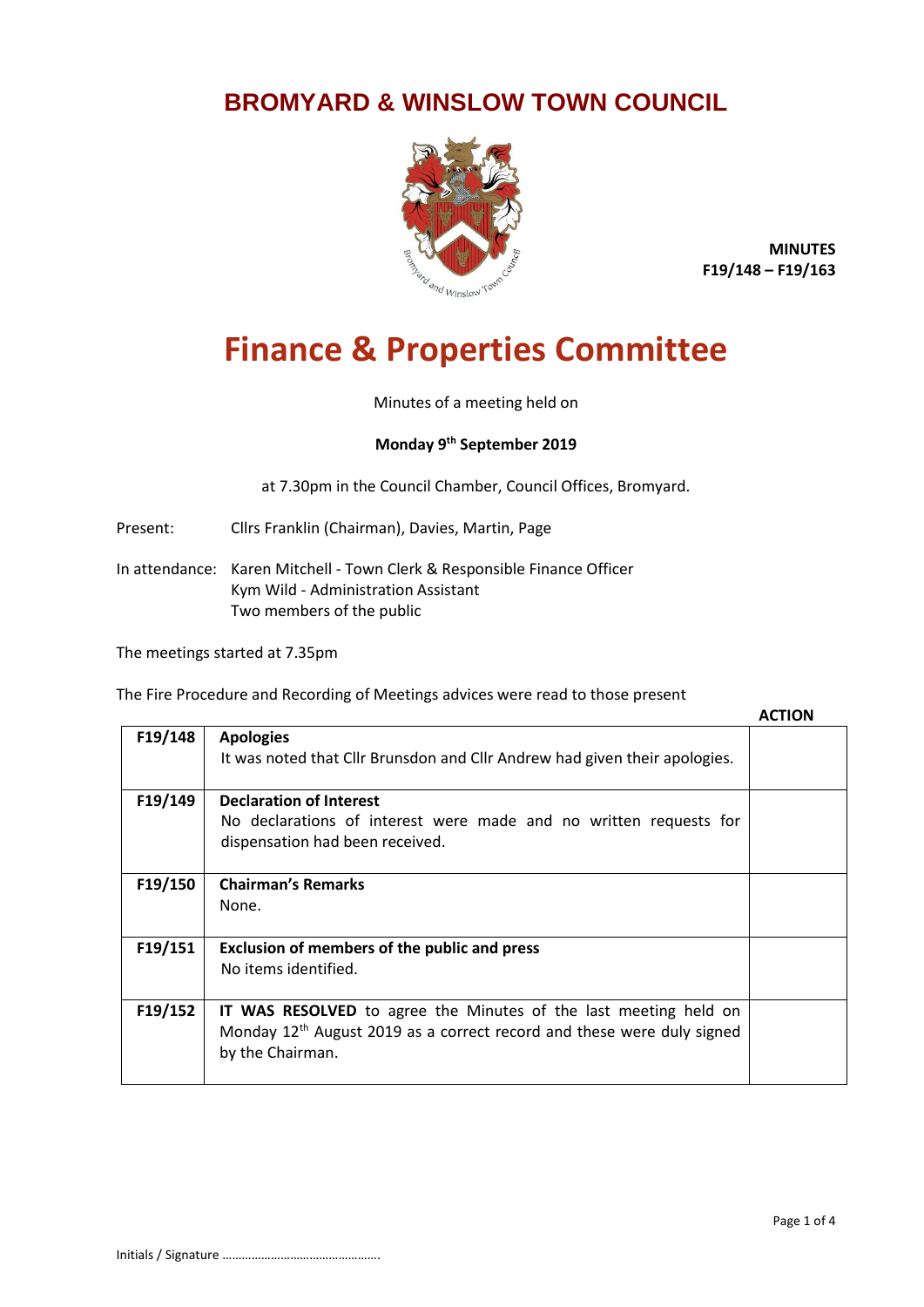## **BROMYARD & WINSLOW TOWN COUNCIL**



**MINUTES F19/148 – F19/163**

## **Finance & Properties Committee**

Minutes of a meeting held on

## **Monday 9 th September 2019**

at 7.30pm in the Council Chamber, Council Offices, Bromyard.

Present: Cllrs Franklin (Chairman), Davies, Martin, Page

In attendance: Karen Mitchell - Town Clerk & Responsible Finance Officer Kym Wild - Administration Assistant Two members of the public

The meetings started at 7.35pm

The Fire Procedure and Recording of Meetings advices were read to those present

|         |                                                                                                                                                                                   | <b>ACTION</b> |
|---------|-----------------------------------------------------------------------------------------------------------------------------------------------------------------------------------|---------------|
| F19/148 | <b>Apologies</b>                                                                                                                                                                  |               |
|         | It was noted that Cllr Brunsdon and Cllr Andrew had given their apologies.                                                                                                        |               |
| F19/149 | <b>Declaration of Interest</b>                                                                                                                                                    |               |
|         | No declarations of interest were made and no written requests for                                                                                                                 |               |
|         | dispensation had been received.                                                                                                                                                   |               |
| F19/150 | <b>Chairman's Remarks</b>                                                                                                                                                         |               |
|         | None.                                                                                                                                                                             |               |
|         |                                                                                                                                                                                   |               |
| F19/151 | Exclusion of members of the public and press                                                                                                                                      |               |
|         | No items identified.                                                                                                                                                              |               |
|         |                                                                                                                                                                                   |               |
| F19/152 | <b>IT WAS RESOLVED</b> to agree the Minutes of the last meeting held on<br>Monday 12 <sup>th</sup> August 2019 as a correct record and these were duly signed<br>by the Chairman. |               |
|         |                                                                                                                                                                                   |               |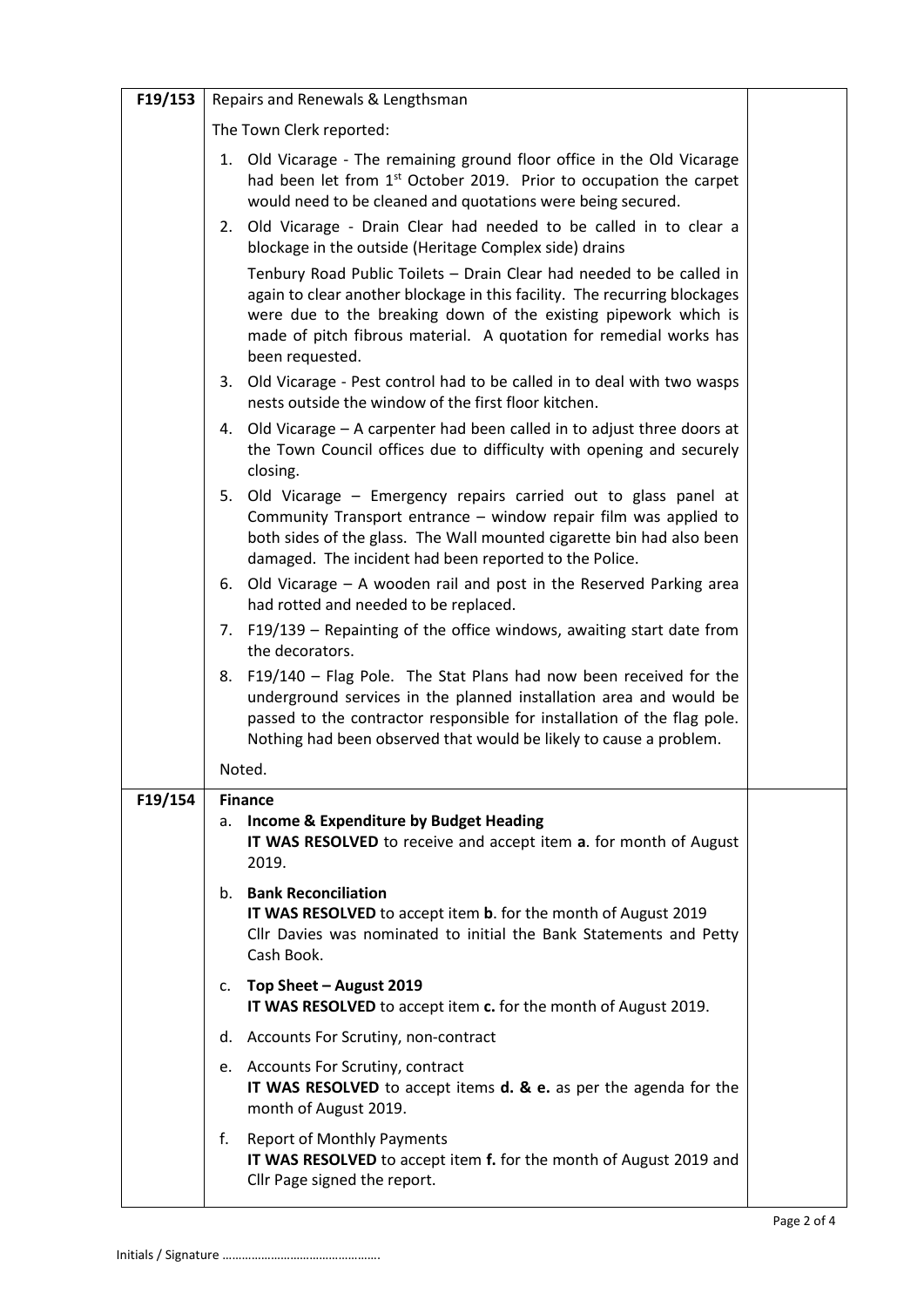| F19/153 | Repairs and Renewals & Lengthsman                                                                                                                                                                                                                                                                             |  |
|---------|---------------------------------------------------------------------------------------------------------------------------------------------------------------------------------------------------------------------------------------------------------------------------------------------------------------|--|
|         | The Town Clerk reported:                                                                                                                                                                                                                                                                                      |  |
|         | 1. Old Vicarage - The remaining ground floor office in the Old Vicarage<br>had been let from 1 <sup>st</sup> October 2019. Prior to occupation the carpet<br>would need to be cleaned and quotations were being secured.                                                                                      |  |
|         | 2. Old Vicarage - Drain Clear had needed to be called in to clear a<br>blockage in the outside (Heritage Complex side) drains                                                                                                                                                                                 |  |
|         | Tenbury Road Public Toilets - Drain Clear had needed to be called in<br>again to clear another blockage in this facility. The recurring blockages<br>were due to the breaking down of the existing pipework which is<br>made of pitch fibrous material. A quotation for remedial works has<br>been requested. |  |
|         | 3. Old Vicarage - Pest control had to be called in to deal with two wasps<br>nests outside the window of the first floor kitchen.                                                                                                                                                                             |  |
|         | 4. Old Vicarage – A carpenter had been called in to adjust three doors at<br>the Town Council offices due to difficulty with opening and securely<br>closing.                                                                                                                                                 |  |
|         | 5. Old Vicarage - Emergency repairs carried out to glass panel at<br>Community Transport entrance - window repair film was applied to<br>both sides of the glass. The Wall mounted cigarette bin had also been<br>damaged. The incident had been reported to the Police.                                      |  |
|         | 6. Old Vicarage - A wooden rail and post in the Reserved Parking area<br>had rotted and needed to be replaced.                                                                                                                                                                                                |  |
|         | 7. F19/139 – Repainting of the office windows, awaiting start date from<br>the decorators.                                                                                                                                                                                                                    |  |
|         | 8. F19/140 - Flag Pole. The Stat Plans had now been received for the<br>underground services in the planned installation area and would be<br>passed to the contractor responsible for installation of the flag pole.<br>Nothing had been observed that would be likely to cause a problem.                   |  |
|         | Noted.                                                                                                                                                                                                                                                                                                        |  |
| F19/154 | <b>Finance</b><br>a. Income & Expenditure by Budget Heading<br>IT WAS RESOLVED to receive and accept item a. for month of August<br>2019.                                                                                                                                                                     |  |
|         | b. Bank Reconciliation<br>IT WAS RESOLVED to accept item b. for the month of August 2019<br>Cllr Davies was nominated to initial the Bank Statements and Petty<br>Cash Book.                                                                                                                                  |  |
|         | c. Top Sheet - August 2019<br>IT WAS RESOLVED to accept item c. for the month of August 2019.                                                                                                                                                                                                                 |  |
|         | d. Accounts For Scrutiny, non-contract                                                                                                                                                                                                                                                                        |  |
|         | e. Accounts For Scrutiny, contract<br>IT WAS RESOLVED to accept items d. & e. as per the agenda for the<br>month of August 2019.                                                                                                                                                                              |  |
|         | f. Report of Monthly Payments<br>IT WAS RESOLVED to accept item f. for the month of August 2019 and<br>Cllr Page signed the report.                                                                                                                                                                           |  |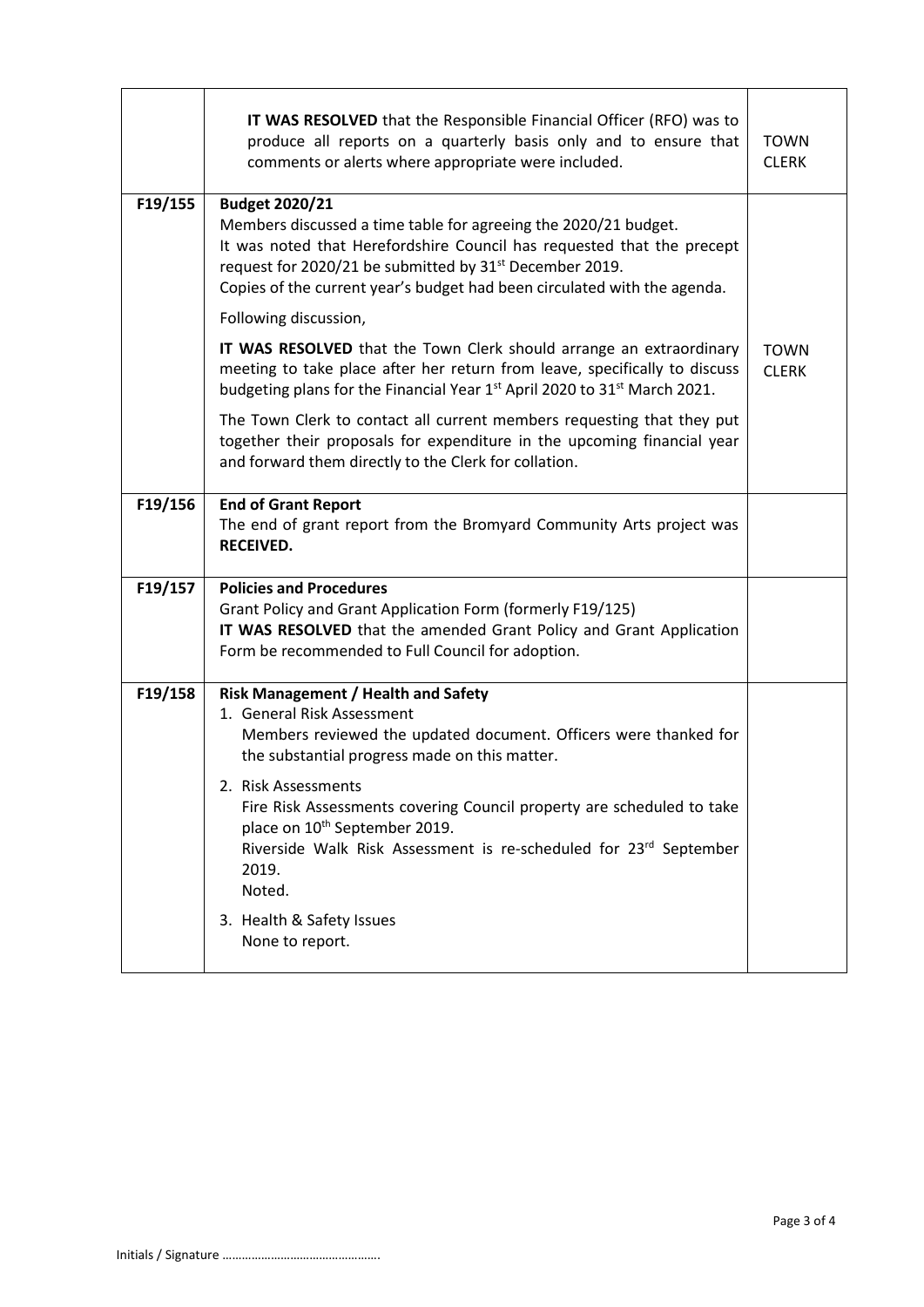|         | IT WAS RESOLVED that the Responsible Financial Officer (RFO) was to<br>produce all reports on a quarterly basis only and to ensure that<br>comments or alerts where appropriate were included.                                                                                                                                                                                                                                                                                     | <b>TOWN</b><br><b>CLERK</b> |
|---------|------------------------------------------------------------------------------------------------------------------------------------------------------------------------------------------------------------------------------------------------------------------------------------------------------------------------------------------------------------------------------------------------------------------------------------------------------------------------------------|-----------------------------|
| F19/155 | <b>Budget 2020/21</b><br>Members discussed a time table for agreeing the 2020/21 budget.<br>It was noted that Herefordshire Council has requested that the precept<br>request for 2020/21 be submitted by 31 <sup>st</sup> December 2019.<br>Copies of the current year's budget had been circulated with the agenda.                                                                                                                                                              |                             |
|         | Following discussion,                                                                                                                                                                                                                                                                                                                                                                                                                                                              |                             |
|         | IT WAS RESOLVED that the Town Clerk should arrange an extraordinary<br>meeting to take place after her return from leave, specifically to discuss<br>budgeting plans for the Financial Year 1 <sup>st</sup> April 2020 to 31 <sup>st</sup> March 2021.                                                                                                                                                                                                                             | <b>TOWN</b><br><b>CLERK</b> |
|         | The Town Clerk to contact all current members requesting that they put<br>together their proposals for expenditure in the upcoming financial year<br>and forward them directly to the Clerk for collation.                                                                                                                                                                                                                                                                         |                             |
| F19/156 | <b>End of Grant Report</b><br>The end of grant report from the Bromyard Community Arts project was<br><b>RECEIVED.</b>                                                                                                                                                                                                                                                                                                                                                             |                             |
| F19/157 | <b>Policies and Procedures</b><br>Grant Policy and Grant Application Form (formerly F19/125)<br>IT WAS RESOLVED that the amended Grant Policy and Grant Application<br>Form be recommended to Full Council for adoption.                                                                                                                                                                                                                                                           |                             |
| F19/158 | <b>Risk Management / Health and Safety</b><br>1. General Risk Assessment<br>Members reviewed the updated document. Officers were thanked for<br>the substantial progress made on this matter.<br>2. Risk Assessments<br>Fire Risk Assessments covering Council property are scheduled to take<br>place on 10 <sup>th</sup> September 2019.<br>Riverside Walk Risk Assessment is re-scheduled for 23rd September<br>2019.<br>Noted.<br>3. Health & Safety Issues<br>None to report. |                             |